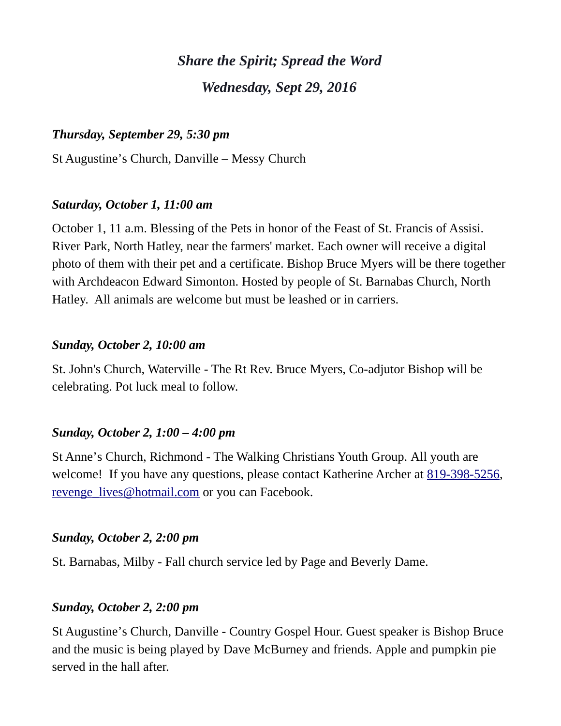# *Share the Spirit; Spread the Word Wednesday, Sept 29, 2016*

#### *Thursday, September 29, 5:30 pm*

St Augustine's Church, Danville – Messy Church

#### *Saturday, October 1, 11:00 am*

October 1, 11 a.m. Blessing of the Pets in honor of the Feast of St. Francis of Assisi. River Park, North Hatley, near the farmers' market. Each owner will receive a digital photo of them with their pet and a certificate. Bishop Bruce Myers will be there together with Archdeacon Edward Simonton. Hosted by people of St. Barnabas Church, North Hatley. All animals are welcome but must be leashed or in carriers.

#### *Sunday, October 2, 10:00 am*

St. John's Church, Waterville - The Rt Rev. Bruce Myers, Co-adjutor Bishop will be celebrating. Pot luck meal to follow.

#### *Sunday, October 2, 1:00 – 4:00 pm*

St Anne's Church, Richmond - The Walking Christians Youth Group. All youth are welcome! If you have any questions, please contact Katherine Archer at [819-398-5256,](tel:819-398-5256) [revenge\\_lives@hotmail.com](mailto:revenge_lives@hotmail.com) or you can Facebook.

#### *Sunday, October 2, 2:00 pm*

St. Barnabas, Milby - Fall church service led by Page and Beverly Dame.

#### *Sunday, October 2, 2:00 pm*

St Augustine's Church, Danville - Country Gospel Hour. Guest speaker is Bishop Bruce and the music is being played by Dave McBurney and friends. Apple and pumpkin pie served in the hall after.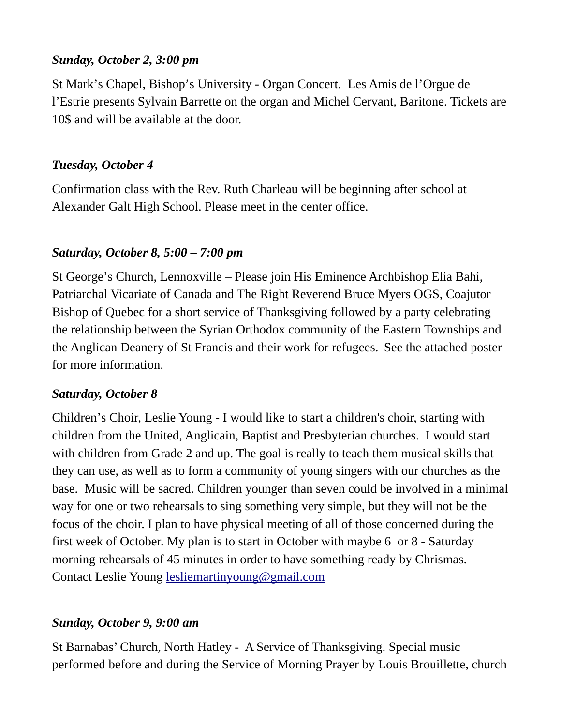### *Sunday, October 2, 3:00 pm*

St Mark's Chapel, Bishop's University - Organ Concert. Les Amis de l'Orgue de l'Estrie presents Sylvain Barrette on the organ and Michel Cervant, Baritone. Tickets are 10\$ and will be available at the door.

## *Tuesday, October 4*

Confirmation class with the Rev. Ruth Charleau will be beginning after school at Alexander Galt High School. Please meet in the center office.

## *Saturday, October 8, 5:00 – 7:00 pm*

St George's Church, Lennoxville – Please join His Eminence Archbishop Elia Bahi, Patriarchal Vicariate of Canada and The Right Reverend Bruce Myers OGS, Coajutor Bishop of Quebec for a short service of Thanksgiving followed by a party celebrating the relationship between the Syrian Orthodox community of the Eastern Townships and the Anglican Deanery of St Francis and their work for refugees. See the attached poster for more information.

## *Saturday, October 8*

Children's Choir, Leslie Young - I would like to start a children's choir, starting with children from the United, Anglicain, Baptist and Presbyterian churches. I would start with children from Grade 2 and up. The goal is really to teach them musical skills that they can use, as well as to form a community of young singers with our churches as the base. Music will be sacred. Children younger than seven could be involved in a minimal way for one or two rehearsals to sing something very simple, but they will not be the focus of the choir. I plan to have physical meeting of all of those concerned during the first week of October. My plan is to start in October with maybe 6 or 8 - Saturday morning rehearsals of 45 minutes in order to have something ready by Chrismas. Contact Leslie Young [lesliemartinyoung@gmail.com](mailto:lesliemartinyoung@gmail.com)

## *Sunday, October 9, 9:00 am*

St Barnabas' Church, North Hatley - A Service of Thanksgiving. Special music performed before and during the Service of Morning Prayer by Louis Brouillette, church